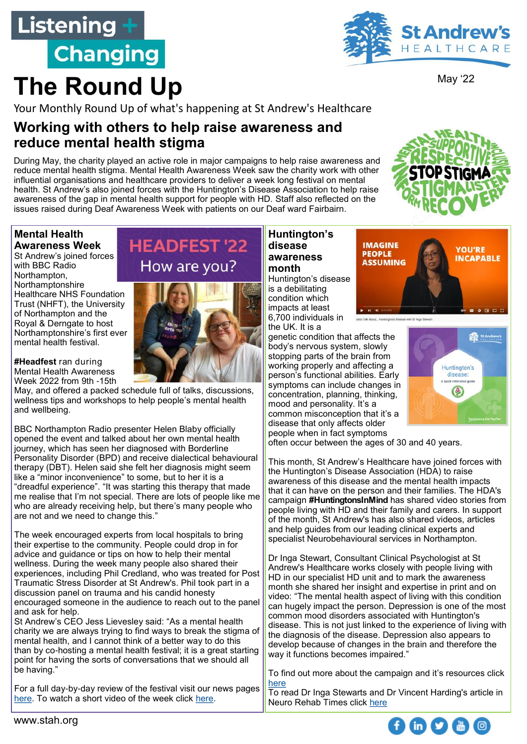## Listening + **Changing**

**The Round Up**



May '22

Your Monthly Round Up of what's happening at St Andrew's Healthcare

## **Working with others to help raise awareness and reduce mental health stigma**

During May, the charity played an active role in major campaigns to help raise awareness and reduce mental health stigma. Mental Health Awareness Week saw the charity work with other influential organisations and healthcare providers to deliver a week long festival on mental health. St Andrew's also joined forces with the Huntington's Disease Association to help raise awareness of the gap in mental health support for people with HD. Staff also reflected on the issues raised during Deaf Awareness Week with patients on our Deaf ward Fairbairn.

#### **Mental Health Awareness Week**

St Andrew's joined forces with BBC Radio Northampton, Northamptonshire Healthcare NHS Foundation Trust (NHFT), the University of Northampton and the Royal & Derngate to host Northamptonshire's first ever mental health festival.

**#Headfest** ran during Mental Health Awareness Week 2022 from 9th -15th

May, and offered a packed schedule full of talks, discussions, wellness tips and workshops to help people's mental health and wellbeing.

BBC Northampton Radio presenter Helen Blaby officially opened the event and talked about her own mental health journey, which has seen her diagnosed with Borderline Personality Disorder (BPD) and receive dialectical behavioural therapy (DBT). Helen said she felt her diagnosis might seem like a "minor inconvenience" to some, but to her it is a "dreadful experience". "It was starting this therapy that made me realise that I'm not special. There are lots of people like me who are already receiving help, but there's many people who are not and we need to change this."

The week encouraged experts from local hospitals to bring their expertise to the community. People could drop in for advice and guidance or tips on how to help their mental wellness. During the week many people also shared their experiences, including Phil Credland, who was treated for Post Traumatic Stress Disorder at St Andrew's. Phil took part in a discussion panel on trauma and his candid honesty encouraged someone in the audience to reach out to the panel and ask for help.

St Andrew's CEO Jess Lievesley said: "As a mental health charity we are always trying to find ways to break the stigma of mental health, and I cannot think of a better way to do this than by co-hosting a mental health festival; it is a great starting point for having the sorts of conversations that we should all be having."

For a full day-by-day review of the festival visit our news pages [here.](https://www.stah.org/who-we-are/latest-news/) To watch a short video of the week click [here.](https://twitter.com/i/status/1526465623861100544)

## **HEADFEST '22** How are you?



#### **Huntington's disease awareness month**

Huntington's disease is a debilitating condition which impacts at least 6,700 individuals in the UK. It is a

genetic condition that affects the body's nervous system, slowly stopping parts of the brain from working properly and affecting a person's functional abilities. Early symptoms can include changes in concentration, planning, thinking, mood and personality. It's a common misconception that it's a disease that only affects older people when in fact symptoms





often occur between the ages of 30 and 40 years.

This month, St Andrew's Healthcare have joined forces with the Huntington's Disease Association (HDA) to raise awareness of this disease and the mental health impacts that it can have on the person and their families. The HDA's campaign **#HuntingtonsInMind** has shared video stories from people living with HD and their family and carers. In support of the month, St Andrew's has also shared videos, articles and help guides from our leading clinical experts and specialist Neurobehavioural services in Northampton.

Dr Inga Stewart, Consultant Clinical Psychologist at St Andrew's Healthcare works closely with people living with HD in our specialist HD unit and to mark the awareness month she shared her insight and expertise in print and on video: "The mental health aspect of living with this condition can hugely impact the person. Depression is one of the most common mood disorders associated with Huntington's disease. This is not just linked to the experience of living with the diagnosis of the disease. Depression also appears to develop because of changes in the brain and therefore the way it functions becomes impaired."

To find out more about the campaign and it's resources click [here](https://www.stah.org/our-services/neuropsychiatry/neuropsychiatry-services-huntingtons-disease-hd/#:~:text=treat%20the%20symptoms%22-,Neuropsychiatry%20%2D%20Huntington%27s%20Disease%20(HD),psychiatric%2C%20cognitive%20and%20motor%20deficits.)

To read Dr Inga Stewarts and Dr Vincent Harding's article in Neuro Rehab Times click [here](https://www.nrtimes.co.uk/special-report-huntingtons-disease-standrews/)